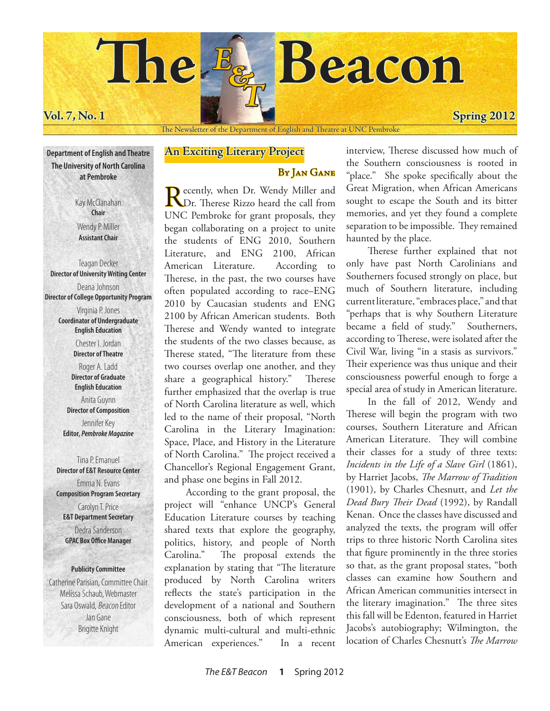

The Newsletter of the Department of English and Theatre at UNC Pembroke

**Department of English and Theatre The University of North Carolina at Pembroke**

> Kay McClanahan **Chair** Wendy P. Miller **Assistant Chair**

Teagan Decker **Director of University Writing Center** Deana Johnson **Director of College Opportunity Program** Virginia P. Jones **Coordinator of Undergraduate English Education** Chester I. Jordan **Director of Theatre** Roger A. Ladd **Director of Graduate English Education** Anita Guynn **Director of Composition** Jennifer Key **Editor,** *Pembroke Magazine*

> Tina P. Emanuel **Director of E&T Resource Center** Emma N. Evans **Composition Program Secretary** Carolyn T. Price **E&T Department Secretary** Dedra Sanderson **GPAC Box Office Manager**

### **Publicity Committee**

Catherine Parisian, Committee Chair Melissa Schaub, Webmaster Sara Oswald, Beacon Editor Jan Gane Brigitte Knight

# **An Exciting Literary Project**

# BY JAN GANE

Recently, when Dr. Wendy Miller and<br>Dr. Therese Rizzo heard the call from UNC Pembroke for grant proposals, they began collaborating on a project to unite the students of ENG 2010, Southern Literature, and ENG 2100, African American Literature. According to Therese, in the past, the two courses have often populated according to race–ENG 2010 by Caucasian students and ENG 2100 by African American students. Both Therese and Wendy wanted to integrate the students of the two classes because, as Therese stated, "The literature from these two courses overlap one another, and they share a geographical history." Therese further emphasized that the overlap is true of North Carolina literature as well, which led to the name of their proposal, "North Carolina in the Literary Imagination: Space, Place, and History in the Literature of North Carolina." The project received a Chancellor's Regional Engagement Grant, and phase one begins in Fall 2012.

According to the grant proposal, the project will "enhance UNCP's General Education Literature courses by teaching shared texts that explore the geography, politics, history, and people of North Carolina." The proposal extends the explanation by stating that "The literature produced by North Carolina writers reflects the state's participation in the development of a national and Southern consciousness, both of which represent dynamic multi-cultural and multi-ethnic American experiences." In a recent

interview, Therese discussed how much of the Southern consciousness is rooted in "place." She spoke specifically about the Great Migration, when African Americans sought to escape the South and its bitter memories, and yet they found a complete separation to be impossible. They remained haunted by the place.

Therese further explained that not only have past North Carolinians and Southerners focused strongly on place, but much of Southern literature, including current literature, "embraces place," and that "perhaps that is why Southern Literature became a field of study." Southerners, according to Therese, were isolated after the Civil War, living "in a stasis as survivors." Their experience was thus unique and their consciousness powerful enough to forge a special area of study in American literature.

In the fall of 2012, Wendy and Therese will begin the program with two courses, Southern Literature and African American Literature. They will combine their classes for a study of three texts: *Incidents in the Life of a Slave Girl* (1861), by Harriet Jacobs, *The Marrow of Tradition*  (1901), by Charles Chesnutt, and *Let the Dead Bury Their Dead* (1992), by Randall Kenan. Once the classes have discussed and analyzed the texts, the program will offer trips to three historic North Carolina sites that figure prominently in the three stories so that, as the grant proposal states, "both classes can examine how Southern and African American communities intersect in the literary imagination." The three sites this fall will be Edenton, featured in Harriet Jacobs's autobiography; Wilmington, the location of Charles Chesnutt's *The Marrow*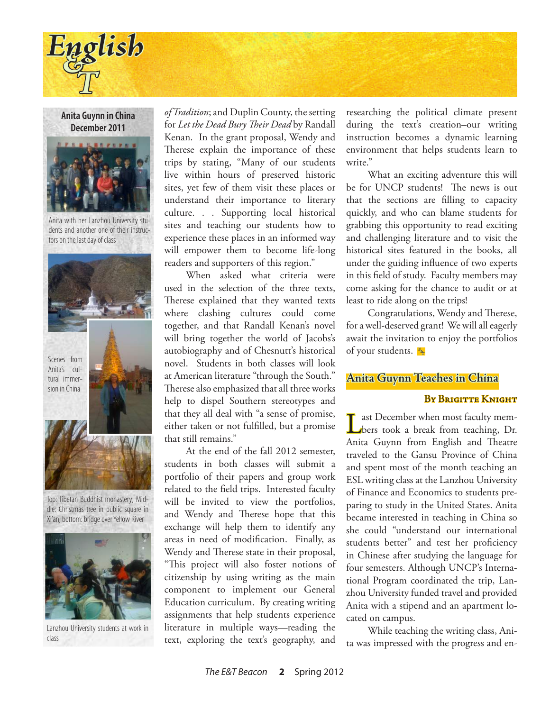

**Anita Guynn in China December 2011**



Anita with her Lanzhou University students and another one of their instructors on the last day of class



Top: Tibetan Buddhist monastery; Middle: Christmas tree in public square in Xi'an; bottom: bridge over Yellow River



Lanzhou University students at work in class

*of Tradition*; and Duplin County, the setting for *Let the Dead Bury Their Dead* by Randall Kenan. In the grant proposal, Wendy and Therese explain the importance of these trips by stating, "Many of our students live within hours of preserved historic sites, yet few of them visit these places or understand their importance to literary culture. . . Supporting local historical sites and teaching our students how to experience these places in an informed way will empower them to become life-long readers and supporters of this region."

When asked what criteria were used in the selection of the three texts, Therese explained that they wanted texts where clashing cultures could come together, and that Randall Kenan's novel will bring together the world of Jacobs's autobiography and of Chesnutt's historical novel. Students in both classes will look at American literature "through the South." Therese also emphasized that all three works help to dispel Southern stereotypes and that they all deal with "a sense of promise, either taken or not fulfilled, but a promise that still remains."

At the end of the fall 2012 semester, students in both classes will submit a portfolio of their papers and group work related to the field trips. Interested faculty will be invited to view the portfolios, and Wendy and Therese hope that this exchange will help them to identify any areas in need of modification. Finally, as Wendy and Therese state in their proposal, "This project will also foster notions of citizenship by using writing as the main component to implement our General Education curriculum. By creating writing assignments that help students experience literature in multiple ways—reading the text, exploring the text's geography, and

researching the political climate present during the text's creation–our writing instruction becomes a dynamic learning environment that helps students learn to write."

What an exciting adventure this will be for UNCP students! The news is out that the sections are filling to capacity quickly, and who can blame students for grabbing this opportunity to read exciting and challenging literature and to visit the historical sites featured in the books, all under the guiding influence of two experts in this field of study. Faculty members may come asking for the chance to audit or at least to ride along on the trips!

Congratulations, Wendy and Therese, for a well-deserved grant! We will all eagerly await the invitation to enjoy the portfolios of your students. *E & T*

## **Anita Guynn Teaches in China**

## BY BRIGITTE KNIGHT

Last December when most faculty mem-<br>bers took a break from teaching, Dr. Anita Guynn from English and Theatre traveled to the Gansu Province of China and spent most of the month teaching an ESL writing class at the Lanzhou University of Finance and Economics to students preparing to study in the United States. Anita became interested in teaching in China so she could "understand our international students better" and test her proficiency in Chinese after studying the language for four semesters. Although UNCP's International Program coordinated the trip, Lanzhou University funded travel and provided Anita with a stipend and an apartment located on campus.

While teaching the writing class, Anita was impressed with the progress and en-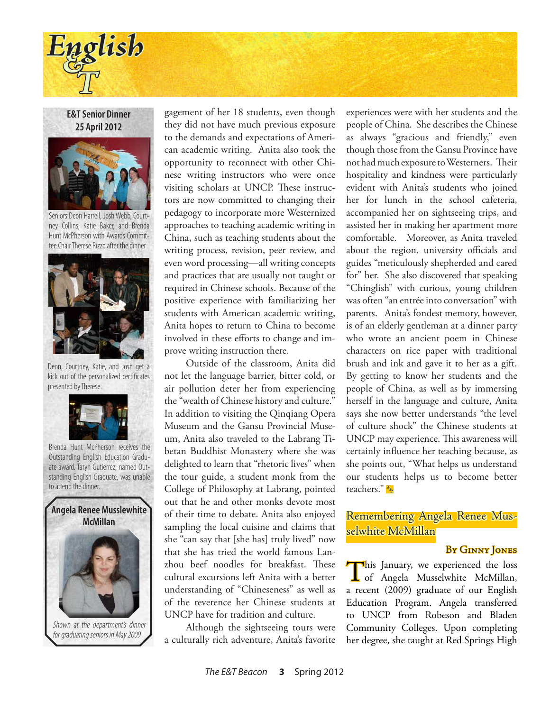

**E&T Senior Dinner 25 April 2012**



Seniors Deon Harrell, Josh Webb, Courtney Collins, Katie Baker, and Brenda Hunt McPherson with Awards Committee Chair Therese Rizzo after the dinner



Deon, Courtney, Katie, and Josh get a kick out of the personalized certificates presented by Therese.



Brenda Hunt McPherson receives the Outstanding English Education Graduate award. Taryn Gutierrez, named Outstanding English Graduate, was unable



gagement of her 18 students, even though they did not have much previous exposure to the demands and expectations of American academic writing. Anita also took the opportunity to reconnect with other Chinese writing instructors who were once visiting scholars at UNCP. These instructors are now committed to changing their pedagogy to incorporate more Westernized approaches to teaching academic writing in China, such as teaching students about the writing process, revision, peer review, and even word processing—all writing concepts and practices that are usually not taught or required in Chinese schools. Because of the positive experience with familiarizing her students with American academic writing, Anita hopes to return to China to become involved in these efforts to change and improve writing instruction there.

Outside of the classroom, Anita did not let the language barrier, bitter cold, or air pollution deter her from experiencing the "wealth of Chinese history and culture." In addition to visiting the Qinqiang Opera Museum and the Gansu Provincial Museum, Anita also traveled to the Labrang Tibetan Buddhist Monastery where she was delighted to learn that "rhetoric lives" when the tour guide, a student monk from the to attend the dinner. **College of Philosophy at Labrang, pointed** teachers." out that he and other monks devote most of their time to debate. Anita also enjoyed sampling the local cuisine and claims that she "can say that [she has] truly lived" now that she has tried the world famous Lanzhou beef noodles for breakfast. These cultural excursions left Anita with a better understanding of "Chineseness" as well as of the reverence her Chinese students at UNCP have for tradition and culture.

> Although the sightseeing tours were a culturally rich adventure, Anita's favorite

experiences were with her students and the people of China. She describes the Chinese as always "gracious and friendly," even though those from the Gansu Province have not had much exposure to Westerners. Their hospitality and kindness were particularly evident with Anita's students who joined her for lunch in the school cafeteria, accompanied her on sightseeing trips, and assisted her in making her apartment more comfortable. Moreover, as Anita traveled about the region, university officials and guides "meticulously shepherded and cared for" her. She also discovered that speaking "Chinglish" with curious, young children was often "an entrée into conversation" with parents. Anita's fondest memory, however, is of an elderly gentleman at a dinner party who wrote an ancient poem in Chinese characters on rice paper with traditional brush and ink and gave it to her as a gift. By getting to know her students and the people of China, as well as by immersing herself in the language and culture, Anita says she now better understands "the level of culture shock" the Chinese students at UNCP may experience. This awareness will certainly influence her teaching because, as she points out, "What helps us understand our students helps us to become better teachers." *& T*

# Remembering Angela Renee Musselwhite McMillan

## By Ginny Jones

This January, we experienced the loss<br>
of Angela Musselwhite McMillan, a recent (2009) graduate of our English Education Program. Angela transferred to UNCP from Robeson and Bladen Community Colleges. Upon completing her degree, she taught at Red Springs High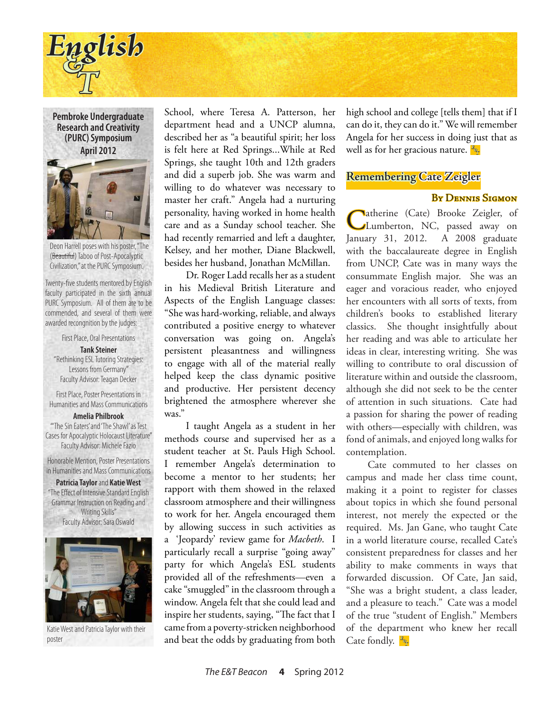

**Pembroke Undergraduate Research and Creativity (PURC) Symposium April 2012**



Deon Harrell poses with his poster, "The (Beautiful) Taboo of Post-Apocalyptic Civilization," at the PURC Symposium.

Twenty-five students mentored by English faculty participated in the sixth annual PURC Symposium. All of them are to be commended, and several of them were awarded recongnition by the judges:

First Place, Oral Presentations

**Tank Steiner** "Rethinking ESL Tutoring Strategies: Lessons from Germany" Faculty Advisor: Teagan Decker

First Place, Poster Presentations in Humanities and Mass Communications

**Amelia Philbrook** "'The Sin Eaters' and 'The Shawl' as Test Cases for Apocalyptic Holocaust Literature" Faculty Advisor: Michele Fazio

Honorable Mention, Poster Presentations in Humanities and Mass Communications

**Patricia Taylor** and **Katie West** "The Effect of Intensive Standard English Grammar Instruction on Reading and Writing Skills" Faculty Advisor: Sara Oswald



Katie West and Patricia Taylor with their poster

School, where Teresa A. Patterson, her department head and a UNCP alumna, described her as "a beautiful spirit; her loss is felt here at Red Springs...While at Red Springs, she taught 10th and 12th graders and did a superb job. She was warm and willing to do whatever was necessary to master her craft." Angela had a nurturing personality, having worked in home health care and as a Sunday school teacher. She had recently remarried and left a daughter, Kelsey, and her mother, Diane Blackwell, besides her husband, Jonathan McMillan.

Dr. Roger Ladd recalls her as a student in his Medieval British Literature and Aspects of the English Language classes: "She was hard-working, reliable, and always contributed a positive energy to whatever conversation was going on. Angela's persistent pleasantness and willingness to engage with all of the material really helped keep the class dynamic positive and productive. Her persistent decency brightened the atmosphere wherever she was."

I taught Angela as a student in her methods course and supervised her as a student teacher at St. Pauls High School. I remember Angela's determination to become a mentor to her students; her rapport with them showed in the relaxed classroom atmosphere and their willingness to work for her. Angela encouraged them by allowing success in such activities as a 'Jeopardy' review game for *Macbeth*. I particularly recall a surprise "going away" party for which Angela's ESL students provided all of the refreshments—even a cake "smuggled" in the classroom through a window. Angela felt that she could lead and inspire her students, saying, "The fact that I came from a poverty-stricken neighborhood and beat the odds by graduating from both

high school and college [tells them] that if I can do it, they can do it." We will remember Angela for her success in doing just that as well as for her gracious nature. *E & T*

## **Remembering Cate Zeigler**

# By Dennis Sigmon

Catherine (Cate) Brooke Zeigler, of Lumberton, NC, passed away on January 31, 2012. A 2008 graduate with the baccalaureate degree in English from UNCP, Cate was in many ways the consummate English major. She was an eager and voracious reader, who enjoyed her encounters with all sorts of texts, from children's books to established literary classics. She thought insightfully about her reading and was able to articulate her ideas in clear, interesting writing. She was willing to contribute to oral discussion of literature within and outside the classroom, although she did not seek to be the center of attention in such situations. Cate had a passion for sharing the power of reading with others—especially with children, was fond of animals, and enjoyed long walks for contemplation.

Cate commuted to her classes on campus and made her class time count, making it a point to register for classes about topics in which she found personal interest, not merely the expected or the required. Ms. Jan Gane, who taught Cate in a world literature course, recalled Cate's consistent preparedness for classes and her ability to make comments in ways that forwarded discussion. Of Cate, Jan said, "She was a bright student, a class leader, and a pleasure to teach." Cate was a model of the true "student of English." Members of the department who knew her recall Cate fondly. *E & T*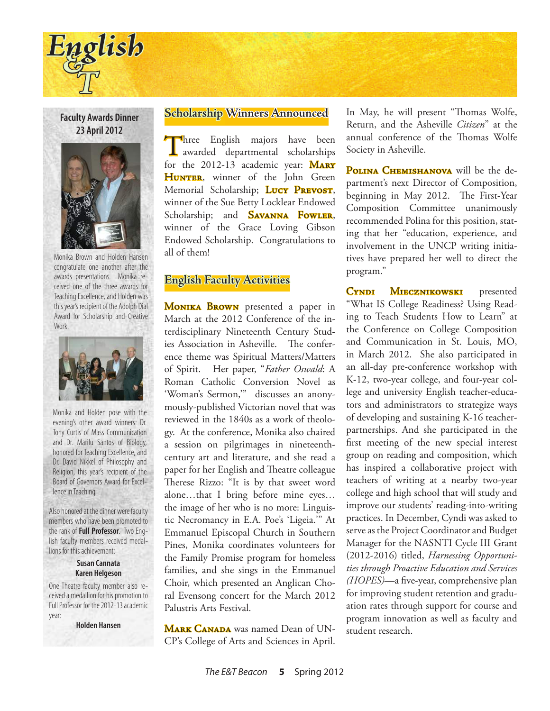

**Faculty Awards Dinner 23 April 2012**



Monika Brown and Holden Hansen congratulate one another after the awards presentations. Monika received one of the three awards for Teaching Excellence, and Holden was this year's recipient of the Adolph Dial Award for Scholarship and Creative Work.



Monika and Holden pose with the evening's other award winners: Dr. Tony Curtis of Mass Communication and Dr. Marilu Santos of Biology, honored for Teaching Excellence, and Dr. David Nikkel of Philosophy and Religion, this year's recipient of the Board of Governors Award for Excellence in Teaching.

Also honored at the dinner were faculty members who have been promoted to the rank of **Full Professor**. Two English faculty members received medallions for this achievement:

#### **Susan Cannata Karen Helgeson**

One Theatre faculty member also received a medallion for his promotion to Full Professor for the 2012-13 academic year:

**Holden Hansen**

## **Scholarship Winners Announced**

Three English majors have been<br>awarded departmental scholarships for the  $2012-13$  academic year: MARY HUNTER, winner of the John Green Memorial Scholarship; Lucy PREVOST, winner of the Sue Betty Locklear Endowed Scholarship; and **SAVANNA FOWLER**, winner of the Grace Loving Gibson Endowed Scholarship. Congratulations to all of them!

# **English Faculty Activities**

MONIKA BROWN presented a paper in March at the 2012 Conference of the interdisciplinary Nineteenth Century Studies Association in Asheville. The conference theme was Spiritual Matters/Matters of Spirit. Her paper, "*Father Oswald*: A Roman Catholic Conversion Novel as 'Woman's Sermon,'" discusses an anonymously-published Victorian novel that was reviewed in the 1840s as a work of theology. At the conference, Monika also chaired a session on pilgrimages in nineteenthcentury art and literature, and she read a paper for her English and Theatre colleague Therese Rizzo: "It is by that sweet word alone…that I bring before mine eyes… the image of her who is no more: Linguistic Necromancy in E.A. Poe's 'Ligeia.'" At Emmanuel Episcopal Church in Southern Pines, Monika coordinates volunteers for the Family Promise program for homeless families, and she sings in the Emmanuel Choir, which presented an Anglican Choral Evensong concert for the March 2012 Palustris Arts Festival.

MARK CANADA was named Dean of UN-CP's College of Arts and Sciences in April.

In May, he will present "Thomas Wolfe, Return, and the Asheville *Citizen*" at the annual conference of the Thomas Wolfe Society in Asheville.

POLINA CHEMISHANOVA will be the department's next Director of Composition, beginning in May 2012. The First-Year Composition Committee unanimously recommended Polina for this position, stating that her "education, experience, and involvement in the UNCP writing initiatives have prepared her well to direct the program."

CYNDI MIECZNIKOWSKI presented "What IS College Readiness? Using Reading to Teach Students How to Learn" at the Conference on College Composition and Communication in St. Louis, MO, in March 2012. She also participated in an all-day pre-conference workshop with K-12, two-year college, and four-year college and university English teacher-educators and administrators to strategize ways of developing and sustaining K-16 teacherpartnerships. And she participated in the first meeting of the new special interest group on reading and composition, which has inspired a collaborative project with teachers of writing at a nearby two-year college and high school that will study and improve our students' reading-into-writing practices. In December, Cyndi was asked to serve as the Project Coordinator and Budget Manager for the NASNTI Cycle III Grant (2012-2016) titled, *Harnessing Opportunities through Proactive Education and Services (HOPES)*—a five-year, comprehensive plan for improving student retention and graduation rates through support for course and program innovation as well as faculty and student research.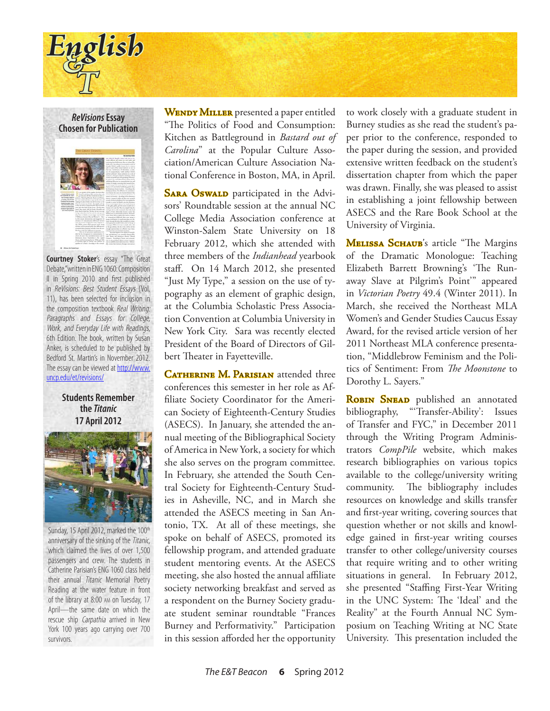



**Courtney Stoker**'s essay "The Great Debate," written in ENG 1060: Composition II in Spring 2010 and first published in ReVisions: Best Student Essays (Vol. 11), has been selected for inclusion in the composition textbook Real Writing: Paragraphs and Essays for College, Work, and Everyday Life with Readings, 6th Edition. The book, written by Susan Anker, is scheduled to be published by Bedford St. Martin's in November 2012. The essay can be viewed at http://www. uncp.edu/et/revisions/

**Students Remember the** *Titanic* **17 April 2012**



Sunday, 15 April 2012, marked the 100<sup>th</sup> anniversary of the sinking of the Titanic, which claimed the lives of over 1,500 passengers and crew. The students in Catherine Parisian's ENG 1060 class held their annual Titanic Memorial Poetry Reading at the water feature in front of the library at 8:00 am on Tuesday, 17 April—the same date on which the rescue ship Carpathia arrived in New York 100 years ago carrying over 700 survivors.

WENDY MILLER presented a paper entitled "The Politics of Food and Consumption: Kitchen as Battleground in *Bastard out of Carolina*" at the Popular Culture Association/American Culture Association National Conference in Boston, MA, in April.

SARA OSWALD participated in the Advisors' Roundtable session at the annual NC College Media Association conference at Winston-Salem State University on 18 February 2012, which she attended with three members of the *Indianhead* yearbook staff. On 14 March 2012, she presented "Just My Type," a session on the use of typography as an element of graphic design, at the Columbia Scholastic Press Association Convention at Columbia University in New York City. Sara was recently elected President of the Board of Directors of Gilbert Theater in Fayetteville.

CATHERINE M. PARISIAN attended three conferences this semester in her role as Affiliate Society Coordinator for the American Society of Eighteenth-Century Studies (ASECS). In January, she attended the annual meeting of the Bibliographical Society of America in New York, a society for which she also serves on the program committee. In February, she attended the South Central Society for Eighteenth-Century Studies in Asheville, NC, and in March she attended the ASECS meeting in San Antonio, TX. At all of these meetings, she spoke on behalf of ASECS, promoted its fellowship program, and attended graduate student mentoring events. At the ASECS meeting, she also hosted the annual affiliate society networking breakfast and served as a respondent on the Burney Society graduate student seminar roundtable "Frances Burney and Performativity." Participation in this session afforded her the opportunity

to work closely with a graduate student in Burney studies as she read the student's paper prior to the conference, responded to the paper during the session, and provided extensive written feedback on the student's dissertation chapter from which the paper was drawn. Finally, she was pleased to assist in establishing a joint fellowship between ASECS and the Rare Book School at the University of Virginia.

MELISSA SCHAUB's article "The Margins of the Dramatic Monologue: Teaching Elizabeth Barrett Browning's 'The Runaway Slave at Pilgrim's Point'" appeared in *Victorian Poetry* 49.4 (Winter 2011). In March, she received the Northeast MLA Women's and Gender Studies Caucus Essay Award, for the revised article version of her 2011 Northeast MLA conference presentation, "Middlebrow Feminism and the Politics of Sentiment: From *The Moonstone* to Dorothy L. Sayers."

**ROBIN SNEAD** published an annotated bibliography, "'Transfer-Ability': Issues of Transfer and FYC," in December 2011 through the Writing Program Administrators *CompPile* website, which makes research bibliographies on various topics available to the college/university writing community. The bibliography includes resources on knowledge and skills transfer and first-year writing, covering sources that question whether or not skills and knowledge gained in first-year writing courses transfer to other college/university courses that require writing and to other writing situations in general. In February 2012, she presented "Staffing First-Year Writing in the UNC System: The 'Ideal' and the Reality" at the Fourth Annual NC Symposium on Teaching Writing at NC State University. This presentation included the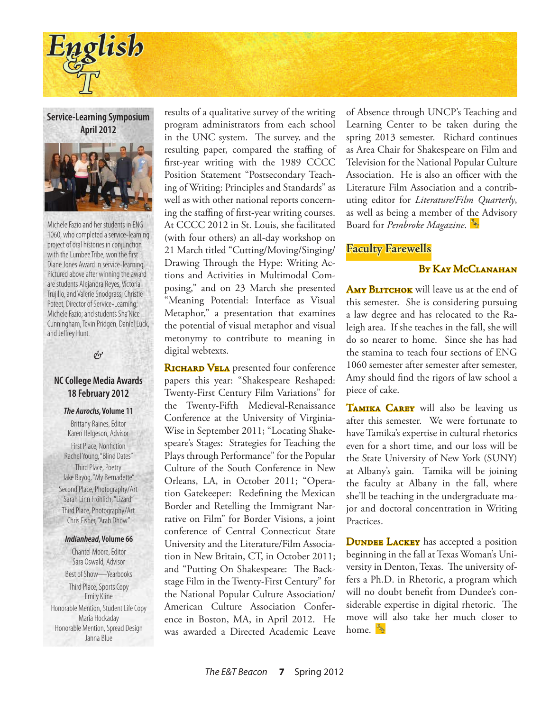

**Service-Learning Symposium April 2012**



1060, who completed a service-learning project of oral histories in conjunction with the Lumbee Tribe, won the first Diane Jones Award in service-learning. Pictured above after winning the award are students Alejandra Reyes, Victoria Trujillo, and Valerie Snodgrass; Christie Poteet, Director of Service-Learning; Michele Fazio; and students Sha'Nice Cunningham, Tevin Pridgen, Daniel Luck, and Jeffrey Hunt.

# $\mathcal{C}$

# **NC College Media Awards 18 February 2012**

### **The Aurochs, Volume 11**

Brittany Raines, Editor Karen Helgeson, Advisor First Place, Nonfiction Rachel Young, "Blind Dates" Third Place, Poetry Jake Bayog, "My Bernadette" Second Place, Photography/Art Sarah Linn Fröhlich, "Lizard" Third Place, Photography/Art Chris Fisher, "Arab Dhow"

#### **Indianhead, Volume 66**

Chantel Moore, Editor Sara Oswald, Advisor Best of Show—Yearbooks Third Place, Sports Copy Emily Kline Honorable Mention, Student Life Copy Maria Hockaday Honorable Mention, Spread Design Janna Blue

results of a qualitative survey of the writing program administrators from each school in the UNC system. The survey, and the resulting paper, compared the staffing of first-year writing with the 1989 CCCC Position Statement "Postsecondary Teaching of Writing: Principles and Standards" as well as with other national reports concerning the staffing of first-year writing courses. Michele Fazio and her students in ENG **At CCCC 2012 in St. Louis, she facilitated** Board for *Pembroke Magazine*. <mark>B</mark> (with four others) an all-day workshop on 21 March titled "Cutting/Moving/Singing/ Drawing Through the Hype: Writing Actions and Activities in Multimodal Composing," and on 23 March she presented "Meaning Potential: Interface as Visual Metaphor," a presentation that examines the potential of visual metaphor and visual metonymy to contribute to meaning in digital webtexts.

> RICHARD VELA presented four conference papers this year: "Shakespeare Reshaped: Twenty-First Century Film Variations" for the Twenty-Fifth Medieval-Renaissance Conference at the University of Virginia-Wise in September 2011; "Locating Shakespeare's Stages: Strategies for Teaching the Plays through Performance" for the Popular Culture of the South Conference in New Orleans, LA, in October 2011; "Operation Gatekeeper: Redefining the Mexican Border and Retelling the Immigrant Narrative on Film" for Border Visions, a joint conference of Central Connecticut State University and the Literature/Film Association in New Britain, CT, in October 2011; and "Putting On Shakespeare: The Backstage Film in the Twenty-First Century" for the National Popular Culture Association/ American Culture Association Conference in Boston, MA, in April 2012. He was awarded a Directed Academic Leave

of Absence through UNCP's Teaching and Learning Center to be taken during the spring 2013 semester. Richard continues as Area Chair for Shakespeare on Film and Television for the National Popular Culture Association. He is also an officer with the Literature Film Association and a contributing editor for *Literature/Film Quarterly*, as well as being a member of the Advisory Board for *Pembroke Magazine*. *E*

# **Faculty Farewells**

# BY KAY MCCLANAHAN

AMY BLITCHOK will leave us at the end of this semester. She is considering pursuing a law degree and has relocated to the Raleigh area. If she teaches in the fall, she will do so nearer to home. Since she has had the stamina to teach four sections of ENG 1060 semester after semester after semester, Amy should find the rigors of law school a piece of cake.

TAMIKA CAREY will also be leaving us after this semester. We were fortunate to have Tamika's expertise in cultural rhetorics even for a short time, and our loss will be the State University of New York (SUNY) at Albany's gain. Tamika will be joining the faculty at Albany in the fall, where she'll be teaching in the undergraduate major and doctoral concentration in Writing Practices.

**DUNDEE LACKEY** has accepted a position beginning in the fall at Texas Woman's University in Denton, Texas. The university offers a Ph.D. in Rhetoric, a program which will no doubt benefit from Dundee's considerable expertise in digital rhetoric. The move will also take her much closer to home. *E & T*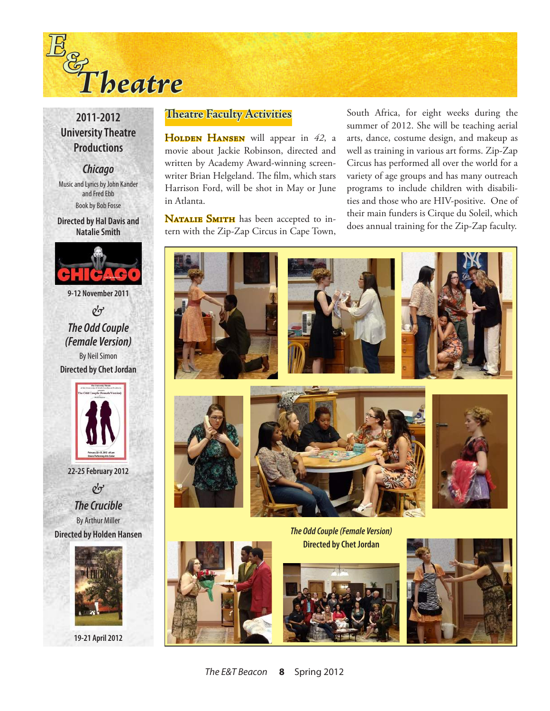

# **2011-2012 University Theatre Productions**

*Chicago* Music and Lyrics by John Kander and Fred Ebb Book by Bob Fosse

**Directed by Hal Davis and Natalie Smith**



& *The Odd Couple*

*(Female Version)* By Neil Simon **Directed by Chet Jordan**



**22-25 February 2012** & *The Crucible*

By Arthur Miller **Directed by Holden Hansen**



**19-21 April 2012**

# **Theatre Faculty Activities**

HOLDEN HANSEN will appear in 42, a movie about Jackie Robinson, directed and written by Academy Award-winning screenwriter Brian Helgeland. The film, which stars Harrison Ford, will be shot in May or June in Atlanta.

NATALIE SMITH has been accepted to intern with the Zip-Zap Circus in Cape Town, South Africa, for eight weeks during the summer of 2012. She will be teaching aerial arts, dance, costume design, and makeup as well as training in various art forms. Zip-Zap Circus has performed all over the world for a variety of age groups and has many outreach programs to include children with disabilities and those who are HIV-positive. One of their main funders is Cirque du Soleil, which does annual training for the Zip-Zap faculty.



**Directed by Chet Jordan**